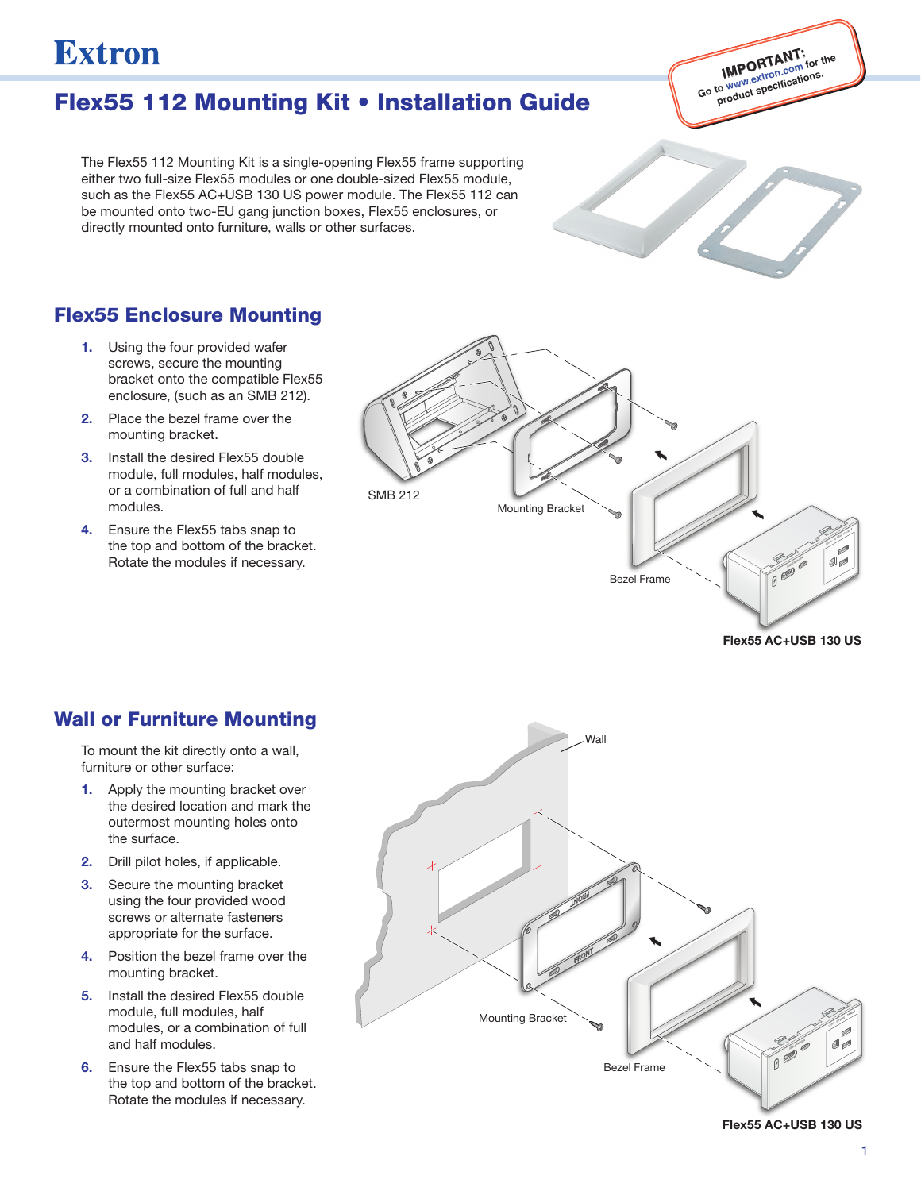# **Extron**

Flex55 112 Mounting Kit • Installation Guide

The Flex55 112 Mounting Kit is a single-opening Flex55 frame supporting either two full-size Flex55 modules or one double-sized Flex55 module, such as the Flex55 AC+USB 130 US power module. The Flex55 112 can be mounted onto two-EU gang junction boxes, Flex55 enclosures, or directly mounted onto furniture, walls or other surfaces.

## Flex55 Enclosure Mounting

- 1. Using the four provided wafer screws, secure the mounting bracket onto the compatible Flex55 enclosure, (such as an SMB 212).
- 2. Place the bezel frame over the mounting bracket.
- 3. Install the desired Flex55 double module, full modules, half modules, or a combination of full and half modules.
- 4. Ensure the Flex55 tabs snap to the top and bottom of the bracket. Rotate the modules if necessary.



Flex55 AC+USB 130 US

**IMPORTANT: Go to www.extron.com** for the product specifications.

### Wall or Furniture Mounting

To mount the kit directly onto a wall, furniture or other surface:

- 1. Apply the mounting bracket over the desired location and mark the outermost mounting holes onto the surface.
- 2. Drill pilot holes, if applicable.
- 3. Secure the mounting bracket using the four provided wood screws or alternate fasteners appropriate for the surface.
- 4. Position the bezel frame over the mounting bracket.
- 5. Install the desired Flex55 double module, full modules, half modules, or a combination of full and half modules.
- 6. Ensure the Flex55 tabs snap to the top and bottom of the bracket. Rotate the modules if necessary.



Flex55 AC+USB 130 US